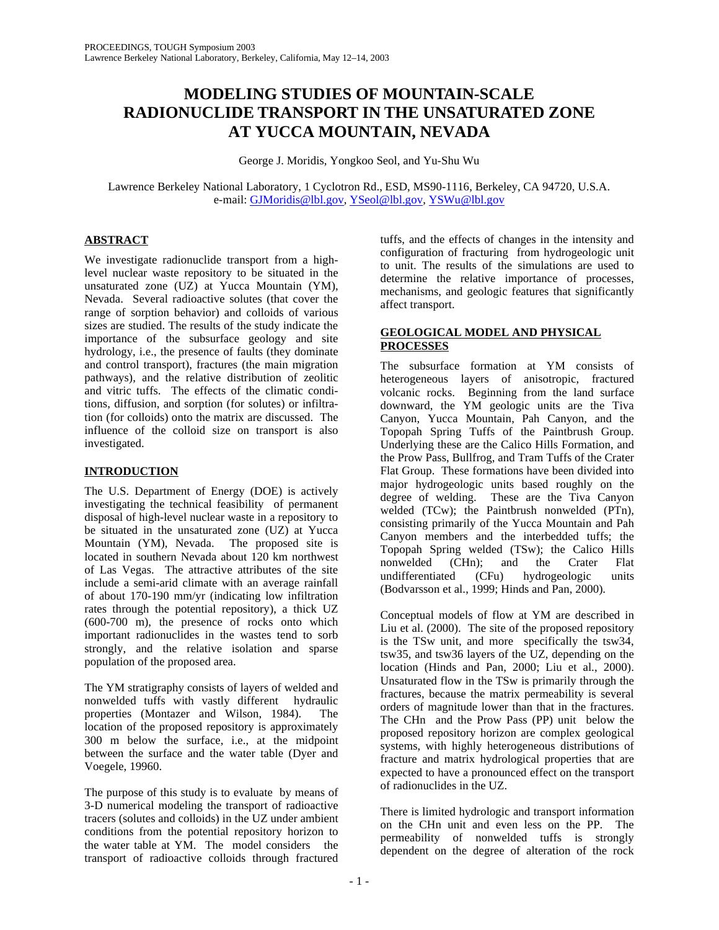# **MODELING STUDIES OF MOUNTAIN-SCALE RADIONUCLIDE TRANSPORT IN THE UNSATURATED ZONE AT YUCCA MOUNTAIN, NEVADA**

George J. Moridis, Yongkoo Seol, and Yu-Shu Wu

Lawrence Berkeley National Laboratory, 1 Cyclotron Rd., ESD, MS90-1116, Berkeley, CA 94720, U.S.A. e-mail: GJMoridis@lbl.gov, YSeol@lbl.gov, YSWu@lbl.gov

## **ABSTRACT**

We investigate radionuclide transport from a highlevel nuclear waste repository to be situated in the unsaturated zone (UZ) at Yucca Mountain (YM), Nevada. Several radioactive solutes (that cover the range of sorption behavior) and colloids of various sizes are studied. The results of the study indicate the importance of the subsurface geology and site hydrology, i.e., the presence of faults (they dominate and control transport), fractures (the main migration pathways), and the relative distribution of zeolitic and vitric tuffs. The effects of the climatic conditions, diffusion, and sorption (for solutes) or infiltration (for colloids) onto the matrix are discussed. The influence of the colloid size on transport is also investigated.

## **INTRODUCTION**

The U.S. Department of Energy (DOE) is actively investigating the technical feasibility of permanent disposal of high-level nuclear waste in a repository to be situated in the unsaturated zone (UZ) at Yucca Mountain (YM), Nevada. The proposed site is located in southern Nevada about 120 km northwest of Las Vegas. The attractive attributes of the site include a semi-arid climate with an average rainfall of about 170-190 mm/yr (indicating low infiltration rates through the potential repository), a thick UZ (600-700 m), the presence of rocks onto which important radionuclides in the wastes tend to sorb strongly, and the relative isolation and sparse population of the proposed area.

The YM stratigraphy consists of layers of welded and nonwelded tuffs with vastly different hydraulic properties (Montazer and Wilson, 1984). The location of the proposed repository is approximately 300 m below the surface, i.e., at the midpoint between the surface and the water table (Dyer and Voegele, 19960.

The purpose of this study is to evaluate by means of 3-D numerical modeling the transport of radioactive tracers (solutes and colloids) in the UZ under ambient conditions from the potential repository horizon to the water table at YM. The model considers the transport of radioactive colloids through fractured

tuffs, and the effects of changes in the intensity and configuration of fracturing from hydrogeologic unit to unit. The results of the simulations are used to determine the relative importance of processes, mechanisms, and geologic features that significantly affect transport.

### **GEOLOGICAL MODEL AND PHYSICAL PROCESSES**

The subsurface formation at YM consists of heterogeneous layers of anisotropic, fractured volcanic rocks. Beginning from the land surface downward, the YM geologic units are the Tiva Canyon, Yucca Mountain, Pah Canyon, and the Topopah Spring Tuffs of the Paintbrush Group. Underlying these are the Calico Hills Formation, and the Prow Pass, Bullfrog, and Tram Tuffs of the Crater Flat Group. These formations have been divided into major hydrogeologic units based roughly on the degree of welding. These are the Tiva Canyon welded (TCw); the Paintbrush nonwelded (PTn), consisting primarily of the Yucca Mountain and Pah Canyon members and the interbedded tuffs; the Topopah Spring welded (TSw); the Calico Hills n); and the Crater Flat<br>(CFu) hydrogeologic units undifferentiated (CFu) hydrogeologic units (Bodvarsson et al., 1999; Hinds and Pan, 2000).

Conceptual models of flow at YM are described in Liu et al. (2000). The site of the proposed repository is the TSw unit, and more specifically the tsw34, tsw35, and tsw36 layers of the UZ, depending on the location (Hinds and Pan, 2000; Liu et al., 2000). Unsaturated flow in the TSw is primarily through the fractures, because the matrix permeability is several orders of magnitude lower than that in the fractures. The CHn and the Prow Pass (PP) unit below the proposed repository horizon are complex geological systems, with highly heterogeneous distributions of fracture and matrix hydrological properties that are expected to have a pronounced effect on the transport of radionuclides in the UZ.

There is limited hydrologic and transport information on the CHn unit and even less on the PP. The permeability of nonwelded tuffs is strongly dependent on the degree of alteration of the rock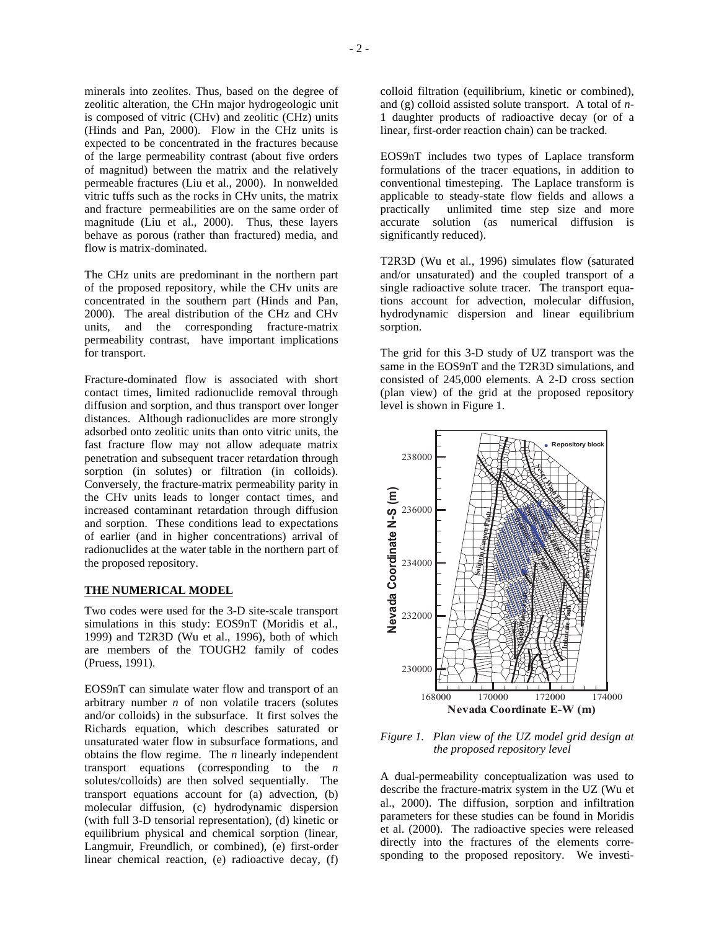minerals into zeolites. Thus, based on the degree of zeolitic alteration, the CHn major hydrogeologic unit is composed of vitric (CHv) and zeolitic (CHz) units (Hinds and Pan, 2000). Flow in the CHz units is expected to be concentrated in the fractures because of the large permeability contrast (about five orders of magnitud) between the matrix and the relatively permeable fractures (Liu et al., 2000). In nonwelded vitric tuffs such as the rocks in CHv units, the matrix and fracture permeabilities are on the same order of magnitude (Liu et al., 2000). Thus, these layers behave as porous (rather than fractured) media, and flow is matrix-dominated.

The CHz units are predominant in the northern part of the proposed repository, while the CHv units are concentrated in the southern part (Hinds and Pan, 2000). The areal distribution of the CHz and CHv units, and the corresponding fracture-matrix permeability contrast, have important implications for transport.

Fracture-dominated flow is associated with short contact times, limited radionuclide removal through diffusion and sorption, and thus transport over longer distances. Although radionuclides are more strongly adsorbed onto zeolitic units than onto vitric units, the fast fracture flow may not allow adequate matrix penetration and subsequent tracer retardation through sorption (in solutes) or filtration (in colloids). Conversely, the fracture-matrix permeability parity in the CHv units leads to longer contact times, and increased contaminant retardation through diffusion and sorption. These conditions lead to expectations of earlier (and in higher concentrations) arrival of radionuclides at the water table in the northern part of the proposed repository.

#### **THE NUMERICAL MODEL**

Two codes were used for the 3-D site-scale transport simulations in this study: EOS9nT (Moridis et al., 1999) and T2R3D (Wu et al., 1996), both of which are members of the TOUGH2 family of codes (Pruess, 1991).

EOS9nT can simulate water flow and transport of an arbitrary number *n* of non volatile tracers (solutes and/or colloids) in the subsurface. It first solves the Richards equation, which describes saturated or unsaturated water flow in subsurface formations, and obtains the flow regime. The *n* linearly independent transport equations (corresponding to the *n* solutes/colloids) are then solved sequentially. The transport equations account for (a) advection, (b) molecular diffusion, (c) hydrodynamic dispersion (with full 3-D tensorial representation), (d) kinetic or equilibrium physical and chemical sorption (linear, Langmuir, Freundlich, or combined), (e) first-order linear chemical reaction, (e) radioactive decay, (f)

colloid filtration (equilibrium, kinetic or combined), and (g) colloid assisted solute transport. A total of *n*-1 daughter products of radioactive decay (or of a linear, first-order reaction chain) can be tracked.

EOS9nT includes two types of Laplace transform formulations of the tracer equations, in addition to conventional timesteping. The Laplace transform is applicable to steady-state flow fields and allows a practically unlimited time step size and more accurate solution (as numerical diffusion is significantly reduced).

T2R3D (Wu et al., 1996) simulates flow (saturated and/or unsaturated) and the coupled transport of a single radioactive solute tracer. The transport equations account for advection, molecular diffusion, hydrodynamic dispersion and linear equilibrium sorption.

The grid for this 3-D study of UZ transport was the same in the EOS9nT and the T2R3D simulations, and consisted of 245,000 elements. A 2-D cross section (plan view) of the grid at the proposed repository level is shown in Figure 1.



*Figure 1. Plan view of the UZ model grid design at the proposed repository level* 

A dual-permeability conceptualization was used to describe the fracture-matrix system in the UZ (Wu et al., 2000). The diffusion, sorption and infiltration parameters for these studies can be found in Moridis et al. (2000). The radioactive species were released directly into the fractures of the elements corresponding to the proposed repository. We investi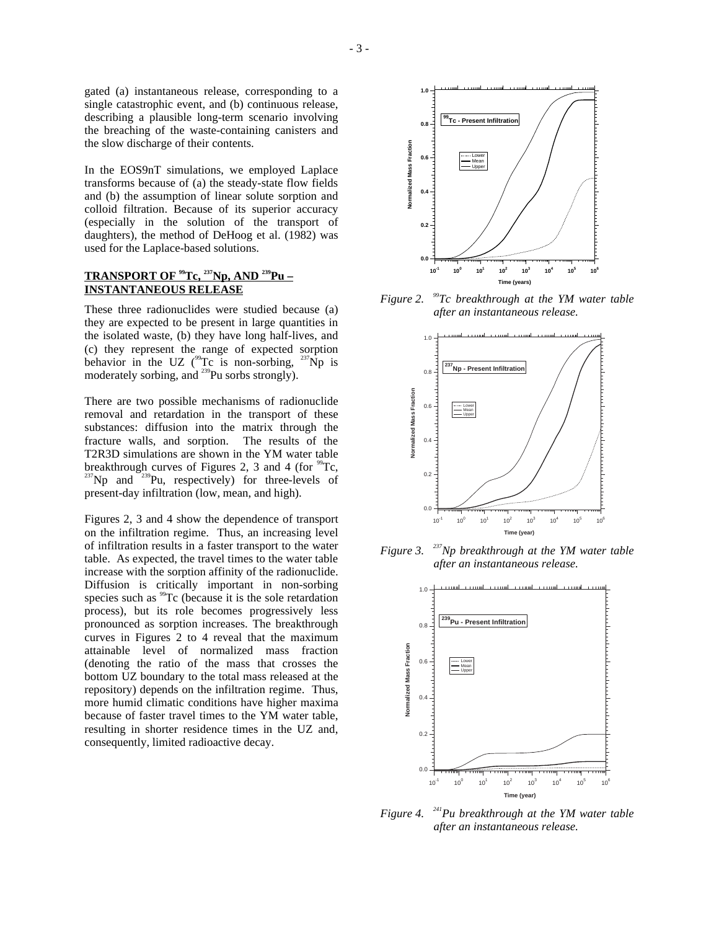gated (a) instantaneous release, corresponding to a single catastrophic event, and (b) continuous release, describing a plausible long-term scenario involving the breaching of the waste-containing canisters and the slow discharge of their contents.

In the EOS9nT simulations, we employed Laplace transforms because of (a) the steady-state flow fields and (b) the assumption of linear solute sorption and colloid filtration. Because of its superior accuracy (especially in the solution of the transport of daughters), the method of DeHoog et al. (1982) was used for the Laplace-based solutions.

## **TRANSPORT OF 99Tc, 237Np, AND 239Pu – INSTANTANEOUS RELEASE**

These three radionuclides were studied because (a) they are expected to be present in large quantities in the isolated waste, (b) they have long half-lives, and (c) they represent the range of expected sorption behavior in the UZ ( $^{99}$ Tc is non-sorbing,  $^{237}$ Np is moderately sorbing, and  $^{239}$ Pu sorbs strongly).

There are two possible mechanisms of radionuclide removal and retardation in the transport of these substances: diffusion into the matrix through the fracture walls, and sorption. The results of the T2R3D simulations are shown in the YM water table breakthrough curves of Figures 2, 3 and 4 (for  ${}^{99}Te$ ,  ${}^{237}Np$  and  ${}^{239}Pu$ , respectively) for three-levels of present-day infiltration (low, mean, and high).

Figures 2, 3 and 4 show the dependence of transport on the infiltration regime. Thus, an increasing level of infiltration results in a faster transport to the water table. As expected, the travel times to the water table increase with the sorption affinity of the radionuclide. Diffusion is critically important in non-sorbing species such as <sup>99</sup>Tc (because it is the sole retardation process), but its role becomes progressively less pronounced as sorption increases. The breakthrough curves in Figures 2 to 4 reveal that the maximum attainable level of normalized mass fraction (denoting the ratio of the mass that crosses the bottom UZ boundary to the total mass released at the repository) depends on the infiltration regime. Thus, more humid climatic conditions have higher maxima because of faster travel times to the YM water table, resulting in shorter residence times in the UZ and, consequently, limited radioactive decay.





*Figure 2. 99Tc breakthrough at the YM water table after an instantaneous release.* 



*Figure 3. 237Np breakthrough at the YM water table after an instantaneous release.* 



*Figure 4. 241Pu breakthrough at the YM water table after an instantaneous release.*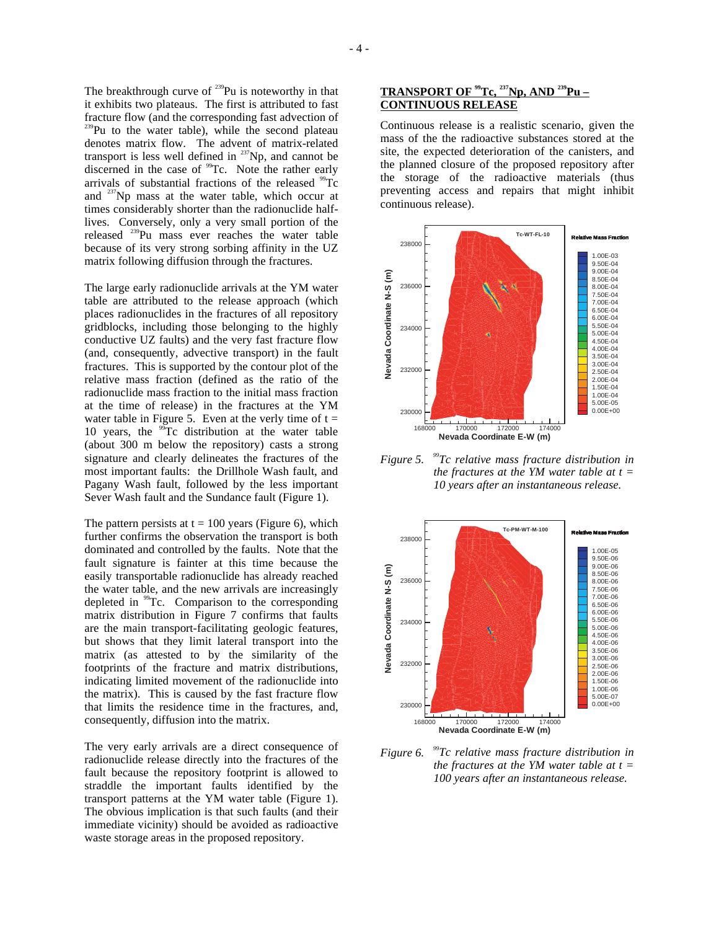The breakthrough curve of  $^{239}$ Pu is noteworthy in that it exhibits two plateaus. The first is attributed to fast fracture flow (and the corresponding fast advection of  $239$ Pu to the water table), while the second plateau denotes matrix flow. The advent of matrix-related transport is less well defined in  $^{237}Np$ , and cannot be discerned in the case of <sup>99</sup>Tc. Note the rather early arrivals of substantial fractions of the released  $^{99}$ Tc and  $^{237}$ Np mass at the water table, which occur at times considerably shorter than the radionuclide halflives. Conversely, only a very small portion of the released 239Pu mass ever reaches the water table because of its very strong sorbing affinity in the UZ matrix following diffusion through the fractures.

The large early radionuclide arrivals at the YM water table are attributed to the release approach (which places radionuclides in the fractures of all repository gridblocks, including those belonging to the highly conductive UZ faults) and the very fast fracture flow (and, consequently, advective transport) in the fault fractures. This is supported by the contour plot of the relative mass fraction (defined as the ratio of the radionuclide mass fraction to the initial mass fraction at the time of release) in the fractures at the YM water table in Figure 5. Even at the verly time of  $t =$ 10 years, the  $\frac{99}{2}$ Tc distribution at the water table (about 300 m below the repository) casts a strong signature and clearly delineates the fractures of the most important faults: the Drillhole Wash fault, and Pagany Wash fault, followed by the less important Sever Wash fault and the Sundance fault (Figure 1).

The pattern persists at  $t = 100$  years (Figure 6), which further confirms the observation the transport is both dominated and controlled by the faults. Note that the fault signature is fainter at this time because the easily transportable radionuclide has already reached the water table, and the new arrivals are increasingly depleted in <sup>99</sup>Tc. Comparison to the corresponding matrix distribution in Figure 7 confirms that faults are the main transport-facilitating geologic features, but shows that they limit lateral transport into the matrix (as attested to by the similarity of the footprints of the fracture and matrix distributions, indicating limited movement of the radionuclide into the matrix). This is caused by the fast fracture flow that limits the residence time in the fractures, and, consequently, diffusion into the matrix.

The very early arrivals are a direct consequence of radionuclide release directly into the fractures of the fault because the repository footprint is allowed to straddle the important faults identified by the transport patterns at the YM water table (Figure 1). The obvious implication is that such faults (and their immediate vicinity) should be avoided as radioactive waste storage areas in the proposed repository.

## **TRANSPORT OF 99Tc, 237Np, AND 239Pu – CONTINUOUS RELEASE**

Continuous release is a realistic scenario, given the mass of the the radioactive substances stored at the site, the expected deterioration of the canisters, and the planned closure of the proposed repository after the storage of the radioactive materials (thus preventing access and repairs that might inhibit continuous release).



*Figure 5. 99Tc relative mass fracture distribution in the fractures at the YM water table at t = 10 years after an instantaneous release.* 



*Figure 6. 99Tc relative mass fracture distribution in the fractures at the YM water table at t = 100 years after an instantaneous release.*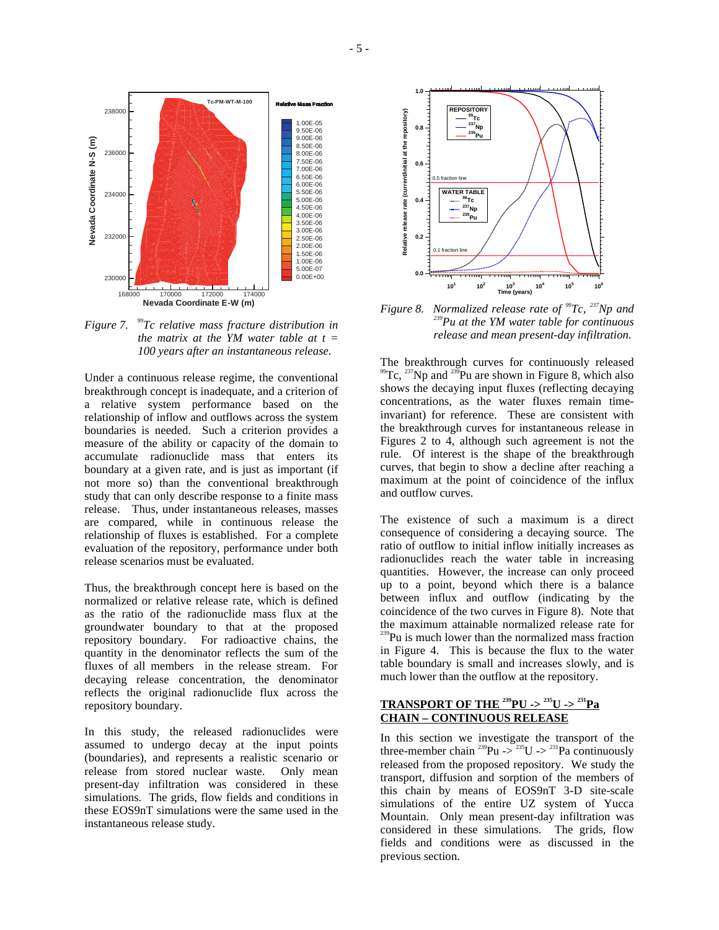

*Figure 7. 99Tc relative mass fracture distribution in the matrix at the YM water table at t = 100 years after an instantaneous release.* 

Under a continuous release regime, the conventional breakthrough concept is inadequate, and a criterion of a relative system performance based on the relationship of inflow and outflows across the system boundaries is needed. Such a criterion provides a measure of the ability or capacity of the domain to accumulate radionuclide mass that enters its boundary at a given rate, and is just as important (if not more so) than the conventional breakthrough study that can only describe response to a finite mass release. Thus, under instantaneous releases, masses are compared, while in continuous release the relationship of fluxes is established. For a complete evaluation of the repository, performance under both release scenarios must be evaluated.

Thus, the breakthrough concept here is based on the normalized or relative release rate, which is defined as the ratio of the radionuclide mass flux at the groundwater boundary to that at the proposed repository boundary. For radioactive chains, the quantity in the denominator reflects the sum of the fluxes of all members in the release stream. For decaying release concentration, the denominator reflects the original radionuclide flux across the repository boundary.

In this study, the released radionuclides were assumed to undergo decay at the input points (boundaries), and represents a realistic scenario or release from stored nuclear waste. Only mean present-day infiltration was considered in these simulations. The grids, flow fields and conditions in these EOS9nT simulations were the same used in the instantaneous release study.



*Figure 8. Normalized release rate of* <sup>99</sup>*Tc*, <sup>237</sup>*Np and* <sup>239</sup>*Pu at the YM water table for continuous release and mean present-day infiltration.* 

The breakthrough curves for continuously released  $^{99}$ Tc,  $^{237}$ Np and  $^{239}$ Pu are shown in Figure 8, which also shows the decaying input fluxes (reflecting decaying concentrations, as the water fluxes remain timeinvariant) for reference. These are consistent with the breakthrough curves for instantaneous release in Figures 2 to 4, although such agreement is not the rule. Of interest is the shape of the breakthrough curves, that begin to show a decline after reaching a maximum at the point of coincidence of the influx and outflow curves.

The existence of such a maximum is a direct consequence of considering a decaying source. The ratio of outflow to initial inflow initially increases as radionuclides reach the water table in increasing quantities. However, the increase can only proceed up to a point, beyond which there is a balance between influx and outflow (indicating by the coincidence of the two curves in Figure 8). Note that the maximum attainable normalized release rate for <sup>239</sup>Pu is much lower than the normalized mass fraction in Figure 4. This is because the flux to the water table boundary is small and increases slowly, and is much lower than the outflow at the repository.

## **TRANSPORT OF THE 239PU -> 235U -> 231Pa CHAIN – CONTINUOUS RELEASE**

In this section we investigate the transport of the three-member chain  $^{239}Pu \rightarrow ^{235}U \rightarrow ^{231}Pa$  continuously released from the proposed repository. We study the transport, diffusion and sorption of the members of this chain by means of EOS9nT 3-D site-scale simulations of the entire UZ system of Yucca Mountain. Only mean present-day infiltration was considered in these simulations. The grids, flow fields and conditions were as discussed in the previous section.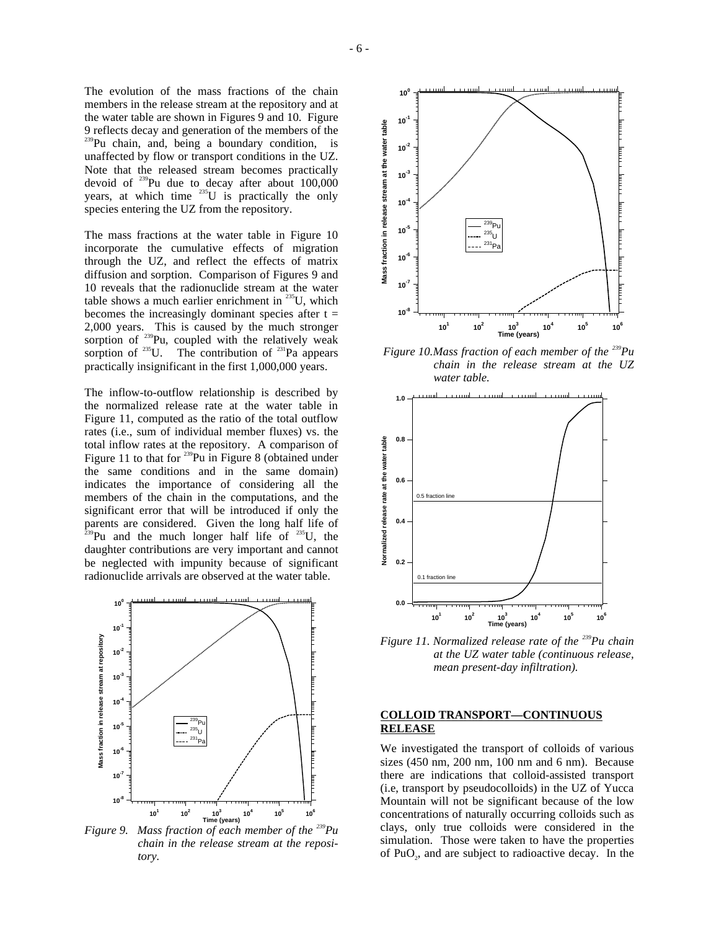The evolution of the mass fractions of the chain members in the release stream at the repository and at the water table are shown in Figures 9 and 10. Figure 9 reflects decay and generation of the members of the <sup>239</sup>Pu chain, and, being a boundary condition, is unaffected by flow or transport conditions in the UZ. Note that the released stream becomes practically devoid of  $^{239}$ Pu due to decay after about 100,000 years, at which time  $^{235}U$  is practically the only species entering the UZ from the repository.

The mass fractions at the water table in Figure 10 incorporate the cumulative effects of migration through the UZ, and reflect the effects of matrix diffusion and sorption. Comparison of Figures 9 and 10 reveals that the radionuclide stream at the water table shows a much earlier enrichment in  $^{235}$ U, which becomes the increasingly dominant species after  $t =$ 2,000 years. This is caused by the much stronger sorption of  $239$ Pu, coupled with the relatively weak sorption of  $^{235}$ U. The contribution of  $^{231}$ Pa appears practically insignificant in the first 1,000,000 years.

The inflow-to-outflow relationship is described by the normalized release rate at the water table in Figure 11, computed as the ratio of the total outflow rates (i.e., sum of individual member fluxes) vs. the total inflow rates at the repository. A comparison of Figure 11 to that for <sup>239</sup>Pu in Figure 8 (obtained under the same conditions and in the same domain) indicates the importance of considering all the members of the chain in the computations, and the significant error that will be introduced if only the parents are considered. Given the long half life of  $^{239}$ Pu and the much longer half life of  $^{235}$ U, the daughter contributions are very important and cannot be neglected with impunity because of significant radionuclide arrivals are observed at the water table.



*Figure 9. Mass fraction of each member of the* <sup>239</sup>Pu *chain in the release stream at the repository.* 



 *Figure 10. Mass fraction of each member of the 239Pu chain in the release stream at the UZ water table.* 



*Figure 11. Normalized release rate of the 239Pu chain at the UZ water table (continuous release, mean present-day infiltration).* 

#### **COLLOID TRANSPORT—CONTINUOUS RELEASE**

We investigated the transport of colloids of various sizes (450 nm, 200 nm, 100 nm and 6 nm). Because there are indications that colloid-assisted transport (i.e, transport by pseudocolloids) in the UZ of Yucca Mountain will not be significant because of the low concentrations of naturally occurring colloids such as clays, only true colloids were considered in the simulation. Those were taken to have the properties of PuO<sub>2</sub>, and are subject to radioactive decay. In the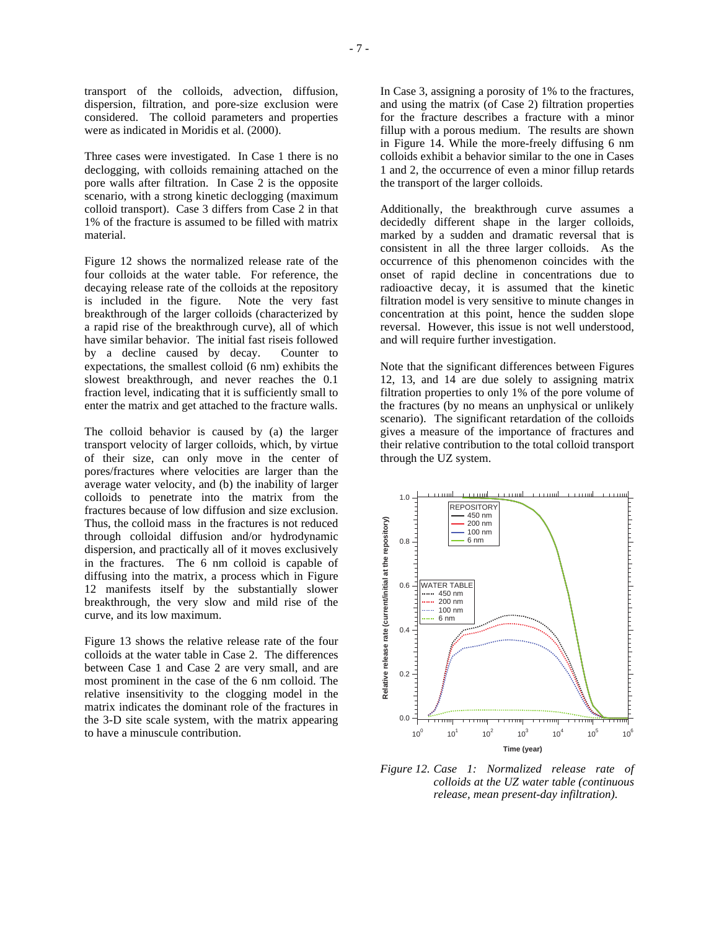transport of the colloids, advection, diffusion, dispersion, filtration, and pore-size exclusion were considered. The colloid parameters and properties were as indicated in Moridis et al. (2000).

Three cases were investigated. In Case 1 there is no declogging, with colloids remaining attached on the pore walls after filtration. In Case 2 is the opposite scenario, with a strong kinetic declogging (maximum colloid transport). Case 3 differs from Case 2 in that 1% of the fracture is assumed to be filled with matrix material.

Figure 12 shows the normalized release rate of the four colloids at the water table. For reference, the decaying release rate of the colloids at the repository is included in the figure. Note the very fast breakthrough of the larger colloids (characterized by a rapid rise of the breakthrough curve), all of which have similar behavior. The initial fast riseis followed by a decline caused by decay. Counter to expectations, the smallest colloid (6 nm) exhibits the slowest breakthrough, and never reaches the 0.1 fraction level, indicating that it is sufficiently small to enter the matrix and get attached to the fracture walls.

The colloid behavior is caused by (a) the larger transport velocity of larger colloids, which, by virtue of their size, can only move in the center of pores/fractures where velocities are larger than the average water velocity, and (b) the inability of larger colloids to penetrate into the matrix from the fractures because of low diffusion and size exclusion. Thus, the colloid mass in the fractures is not reduced through colloidal diffusion and/or hydrodynamic dispersion, and practically all of it moves exclusively in the fractures. The 6 nm colloid is capable of diffusing into the matrix, a process which in Figure 12 manifests itself by the substantially slower breakthrough, the very slow and mild rise of the curve, and its low maximum.

Figure 13 shows the relative release rate of the four colloids at the water table in Case 2. The differences between Case 1 and Case 2 are very small, and are most prominent in the case of the 6 nm colloid. The relative insensitivity to the clogging model in the matrix indicates the dominant role of the fractures in the 3-D site scale system, with the matrix appearing to have a minuscule contribution.

In Case 3, assigning a porosity of 1% to the fractures, and using the matrix (of Case 2) filtration properties for the fracture describes a fracture with a minor fillup with a porous medium. The results are shown in Figure 14. While the more-freely diffusing 6 nm colloids exhibit a behavior similar to the one in Cases 1 and 2, the occurrence of even a minor fillup retards the transport of the larger colloids.

Additionally, the breakthrough curve assumes a decidedly different shape in the larger colloids, marked by a sudden and dramatic reversal that is consistent in all the three larger colloids. As the occurrence of this phenomenon coincides with the onset of rapid decline in concentrations due to radioactive decay, it is assumed that the kinetic filtration model is very sensitive to minute changes in concentration at this point, hence the sudden slope reversal. However, this issue is not well understood, and will require further investigation.

Note that the significant differences between Figures 12, 13, and 14 are due solely to assigning matrix filtration properties to only 1% of the pore volume of the fractures (by no means an unphysical or unlikely scenario). The significant retardation of the colloids gives a measure of the importance of fractures and their relative contribution to the total colloid transport through the UZ system.



*Figure 12. Case 1: Normalized release rate of colloids at the UZ water table (continuous release, mean present-day infiltration).*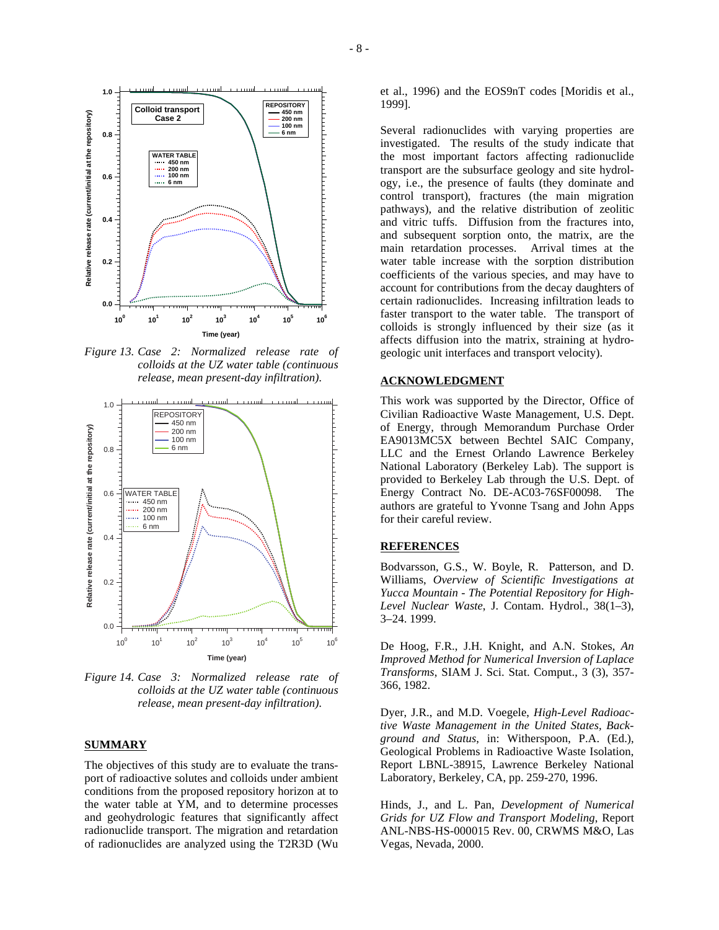

*Figure 13. Case 2: Normalized release rate of colloids at the UZ water table (continuous release, mean present-day infiltration).* 



*Figure 14. Case 3: Normalized release rate of colloids at the UZ water table (continuous release, mean present-day infiltration).* 

#### **SUMMARY**

The objectives of this study are to evaluate the transport of radioactive solutes and colloids under ambient conditions from the proposed repository horizon at to the water table at YM, and to determine processes and geohydrologic features that significantly affect radionuclide transport. The migration and retardation of radionuclides are analyzed using the T2R3D (Wu et al., 1996) and the EOS9nT codes [Moridis et al., 1999].

Several radionuclides with varying properties are investigated. The results of the study indicate that the most important factors affecting radionuclide transport are the subsurface geology and site hydrology, i.e., the presence of faults (they dominate and control transport), fractures (the main migration pathways), and the relative distribution of zeolitic and vitric tuffs. Diffusion from the fractures into, and subsequent sorption onto, the matrix, are the main retardation processes. Arrival times at the water table increase with the sorption distribution coefficients of the various species, and may have to account for contributions from the decay daughters of certain radionuclides. Increasing infiltration leads to faster transport to the water table. The transport of colloids is strongly influenced by their size (as it affects diffusion into the matrix, straining at hydrogeologic unit interfaces and transport velocity).

#### **ACKNOWLEDGMENT**

This work was supported by the Director, Office of Civilian Radioactive Waste Management, U.S. Dept. of Energy, through Memorandum Purchase Order EA9013MC5X between Bechtel SAIC Company, LLC and the Ernest Orlando Lawrence Berkeley National Laboratory (Berkeley Lab). The support is provided to Berkeley Lab through the U.S. Dept. of Energy Contract No. DE-AC03-76SF00098. The authors are grateful to Yvonne Tsang and John Apps for their careful review.

#### **REFERENCES**

Bodvarsson, G.S., W. Boyle, R. Patterson, and D. Williams, *Overview of Scientific Investigations at Yucca Mountain - The Potential Repository for High-Level Nuclear Waste*, J. Contam. Hydrol., 38(1–3), 3–24. 1999.

De Hoog, F.R., J.H. Knight, and A.N. Stokes, *An Improved Method for Numerical Inversion of Laplace Transforms*, SIAM J. Sci. Stat. Comput., 3 (3), 357- 366, 1982.

Dyer, J.R., and M.D. Voegele, *High-Level Radioactive Waste Management in the United States, Background and Status*, in: Witherspoon, P.A. (Ed.), Geological Problems in Radioactive Waste Isolation, Report LBNL-38915, Lawrence Berkeley National Laboratory, Berkeley, CA, pp. 259-270, 1996.

Hinds, J., and L. Pan, *Development of Numerical Grids for UZ Flow and Transport Modeling*, Report ANL-NBS-HS-000015 Rev. 00, CRWMS M&O, Las Vegas, Nevada, 2000.